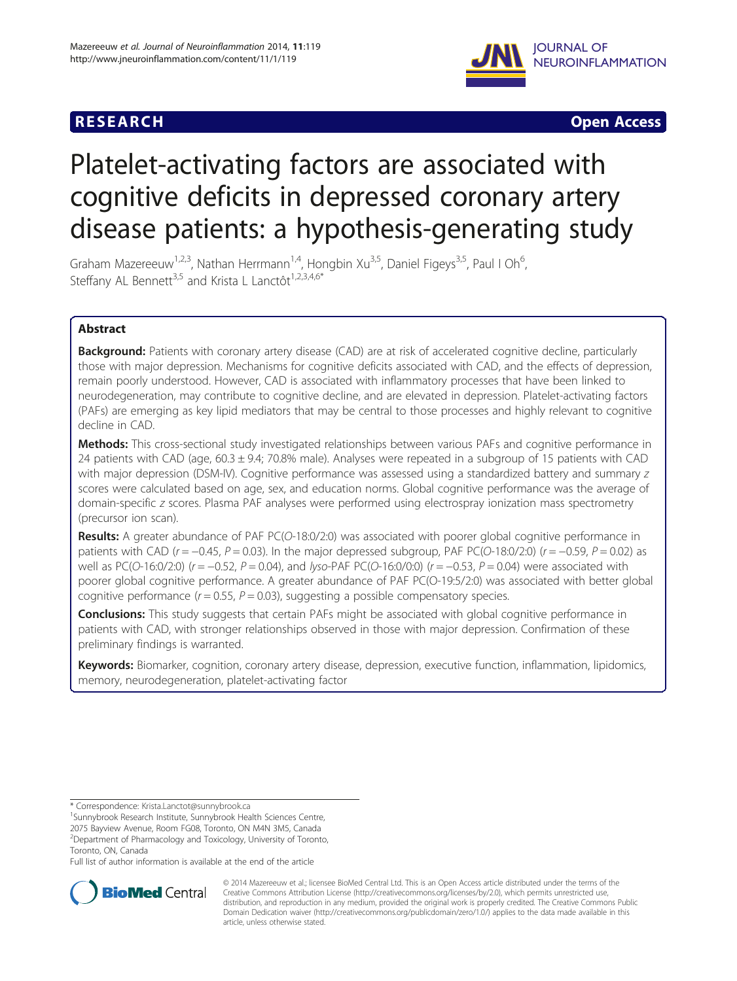# **RESEARCH RESEARCH** *CHECKER CHECKER CHECKER CHECKER CHECKER CHECKER CHECKER CHECKER CHECKER CHECKER CHECKER*



# Platelet-activating factors are associated with cognitive deficits in depressed coronary artery disease patients: a hypothesis-generating study

Graham Mazereeuw<sup>1,2,3</sup>, Nathan Herrmann<sup>1,4</sup>, Hongbin Xu<sup>3,5</sup>, Daniel Figeys<sup>3,5</sup>, Paul I Oh<sup>6</sup>, , Steffany AL Bennett<sup>3,5</sup> and Krista L Lanctôt<sup>1,2,3,4,6\*</sup>

# Abstract

Background: Patients with coronary artery disease (CAD) are at risk of accelerated cognitive decline, particularly those with major depression. Mechanisms for cognitive deficits associated with CAD, and the effects of depression, remain poorly understood. However, CAD is associated with inflammatory processes that have been linked to neurodegeneration, may contribute to cognitive decline, and are elevated in depression. Platelet-activating factors (PAFs) are emerging as key lipid mediators that may be central to those processes and highly relevant to cognitive decline in CAD.

Methods: This cross-sectional study investigated relationships between various PAFs and cognitive performance in 24 patients with CAD (age, 60.3 ± 9.4; 70.8% male). Analyses were repeated in a subgroup of 15 patients with CAD with major depression (DSM-IV). Cognitive performance was assessed using a standardized battery and summary z scores were calculated based on age, sex, and education norms. Global cognitive performance was the average of domain-specific z scores. Plasma PAF analyses were performed using electrospray ionization mass spectrometry (precursor ion scan).

Results: A greater abundance of PAF PC(O-18:0/2:0) was associated with poorer global cognitive performance in patients with CAD ( $r = -0.45$ ,  $P = 0.03$ ). In the major depressed subgroup, PAF PC(O-18:0/2:0) ( $r = -0.59$ ,  $P = 0.02$ ) as well as PC(O-16:0/2:0) ( $r = -0.52$ , P = 0.04), and lyso-PAF PC(O-16:0/0:0) ( $r = -0.53$ , P = 0.04) were associated with poorer global cognitive performance. A greater abundance of PAF PC(O-19:5/2:0) was associated with better global cognitive performance  $(r = 0.55, P = 0.03)$ , suggesting a possible compensatory species.

**Conclusions:** This study suggests that certain PAFs might be associated with global cognitive performance in patients with CAD, with stronger relationships observed in those with major depression. Confirmation of these preliminary findings is warranted.

Keywords: Biomarker, cognition, coronary artery disease, depression, executive function, inflammation, lipidomics, memory, neurodegeneration, platelet-activating factor

<sup>1</sup> Sunnybrook Research Institute, Sunnybrook Health Sciences Centre, 2075 Bayview Avenue, Room FG08, Toronto, ON M4N 3M5, Canada

2 Department of Pharmacology and Toxicology, University of Toronto,

Toronto, ON, Canada

Full list of author information is available at the end of the article



<sup>© 2014</sup> Mazereeuw et al.; licensee BioMed Central Ltd. This is an Open Access article distributed under the terms of the Creative Commons Attribution License (<http://creativecommons.org/licenses/by/2.0>), which permits unrestricted use, distribution, and reproduction in any medium, provided the original work is properly credited. The Creative Commons Public Domain Dedication waiver [\(http://creativecommons.org/publicdomain/zero/1.0/\)](http://creativecommons.org/publicdomain/zero/1.0/) applies to the data made available in this article, unless otherwise stated.

<sup>\*</sup> Correspondence: [Krista.Lanctot@sunnybrook.ca](mailto:Krista.Lanctot@sunnybrook.ca) <sup>1</sup>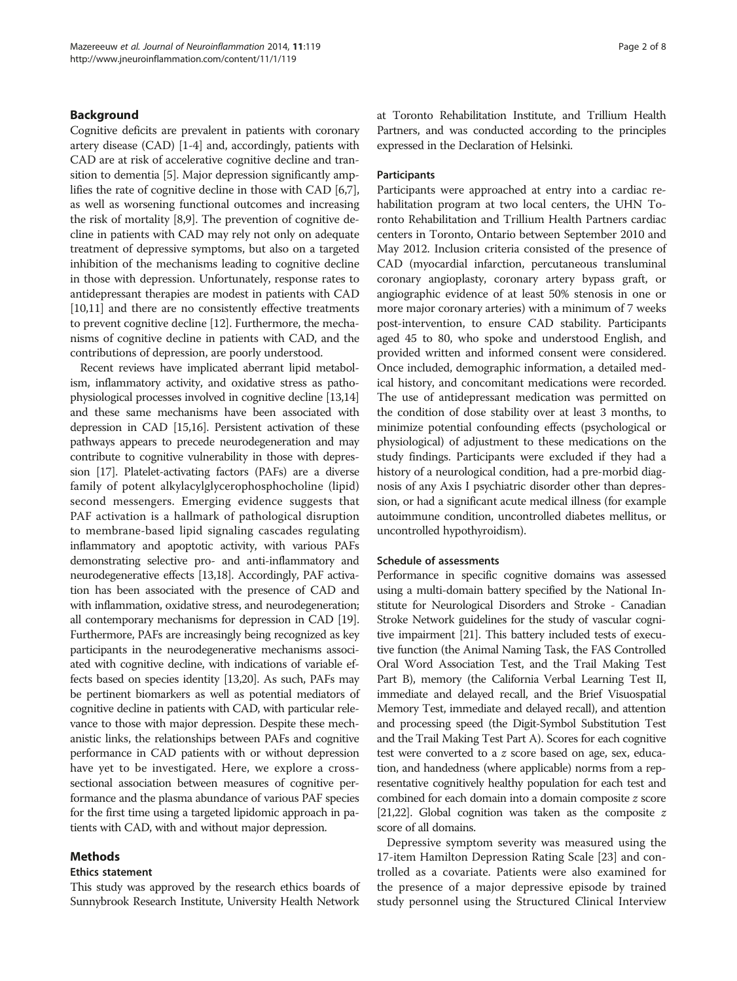# Background

Cognitive deficits are prevalent in patients with coronary artery disease (CAD) [[1-4\]](#page-6-0) and, accordingly, patients with CAD are at risk of accelerative cognitive decline and transition to dementia [[5\]](#page-6-0). Major depression significantly amplifies the rate of cognitive decline in those with CAD [[6](#page-7-0),[7](#page-7-0)], as well as worsening functional outcomes and increasing the risk of mortality [\[8,9\]](#page-7-0). The prevention of cognitive decline in patients with CAD may rely not only on adequate treatment of depressive symptoms, but also on a targeted inhibition of the mechanisms leading to cognitive decline in those with depression. Unfortunately, response rates to antidepressant therapies are modest in patients with CAD [[10,11](#page-7-0)] and there are no consistently effective treatments to prevent cognitive decline [[12](#page-7-0)]. Furthermore, the mechanisms of cognitive decline in patients with CAD, and the contributions of depression, are poorly understood.

Recent reviews have implicated aberrant lipid metabolism, inflammatory activity, and oxidative stress as pathophysiological processes involved in cognitive decline [[13,14](#page-7-0)] and these same mechanisms have been associated with depression in CAD [\[15,16\]](#page-7-0). Persistent activation of these pathways appears to precede neurodegeneration and may contribute to cognitive vulnerability in those with depression [[17](#page-7-0)]. Platelet-activating factors (PAFs) are a diverse family of potent alkylacylglycerophosphocholine (lipid) second messengers. Emerging evidence suggests that PAF activation is a hallmark of pathological disruption to membrane-based lipid signaling cascades regulating inflammatory and apoptotic activity, with various PAFs demonstrating selective pro- and anti-inflammatory and neurodegenerative effects [\[13,18](#page-7-0)]. Accordingly, PAF activation has been associated with the presence of CAD and with inflammation, oxidative stress, and neurodegeneration; all contemporary mechanisms for depression in CAD [\[19](#page-7-0)]. Furthermore, PAFs are increasingly being recognized as key participants in the neurodegenerative mechanisms associated with cognitive decline, with indications of variable effects based on species identity [\[13,20\]](#page-7-0). As such, PAFs may be pertinent biomarkers as well as potential mediators of cognitive decline in patients with CAD, with particular relevance to those with major depression. Despite these mechanistic links, the relationships between PAFs and cognitive performance in CAD patients with or without depression have yet to be investigated. Here, we explore a crosssectional association between measures of cognitive performance and the plasma abundance of various PAF species for the first time using a targeted lipidomic approach in patients with CAD, with and without major depression.

# Methods

# Ethics statement

This study was approved by the research ethics boards of Sunnybrook Research Institute, University Health Network at Toronto Rehabilitation Institute, and Trillium Health Partners, and was conducted according to the principles expressed in the Declaration of Helsinki.

#### Participants

Participants were approached at entry into a cardiac rehabilitation program at two local centers, the UHN Toronto Rehabilitation and Trillium Health Partners cardiac centers in Toronto, Ontario between September 2010 and May 2012. Inclusion criteria consisted of the presence of CAD (myocardial infarction, percutaneous transluminal coronary angioplasty, coronary artery bypass graft, or angiographic evidence of at least 50% stenosis in one or more major coronary arteries) with a minimum of 7 weeks post-intervention, to ensure CAD stability. Participants aged 45 to 80, who spoke and understood English, and provided written and informed consent were considered. Once included, demographic information, a detailed medical history, and concomitant medications were recorded. The use of antidepressant medication was permitted on the condition of dose stability over at least 3 months, to minimize potential confounding effects (psychological or physiological) of adjustment to these medications on the study findings. Participants were excluded if they had a history of a neurological condition, had a pre-morbid diagnosis of any Axis I psychiatric disorder other than depression, or had a significant acute medical illness (for example autoimmune condition, uncontrolled diabetes mellitus, or uncontrolled hypothyroidism).

#### Schedule of assessments

Performance in specific cognitive domains was assessed using a multi-domain battery specified by the National Institute for Neurological Disorders and Stroke - Canadian Stroke Network guidelines for the study of vascular cognitive impairment [\[21\]](#page-7-0). This battery included tests of executive function (the Animal Naming Task, the FAS Controlled Oral Word Association Test, and the Trail Making Test Part B), memory (the California Verbal Learning Test II, immediate and delayed recall, and the Brief Visuospatial Memory Test, immediate and delayed recall), and attention and processing speed (the Digit-Symbol Substitution Test and the Trail Making Test Part A). Scores for each cognitive test were converted to a z score based on age, sex, education, and handedness (where applicable) norms from a representative cognitively healthy population for each test and combined for each domain into a domain composite z score [[21,22](#page-7-0)]. Global cognition was taken as the composite  $z$ score of all domains.

Depressive symptom severity was measured using the 17-item Hamilton Depression Rating Scale [\[23\]](#page-7-0) and controlled as a covariate. Patients were also examined for the presence of a major depressive episode by trained study personnel using the Structured Clinical Interview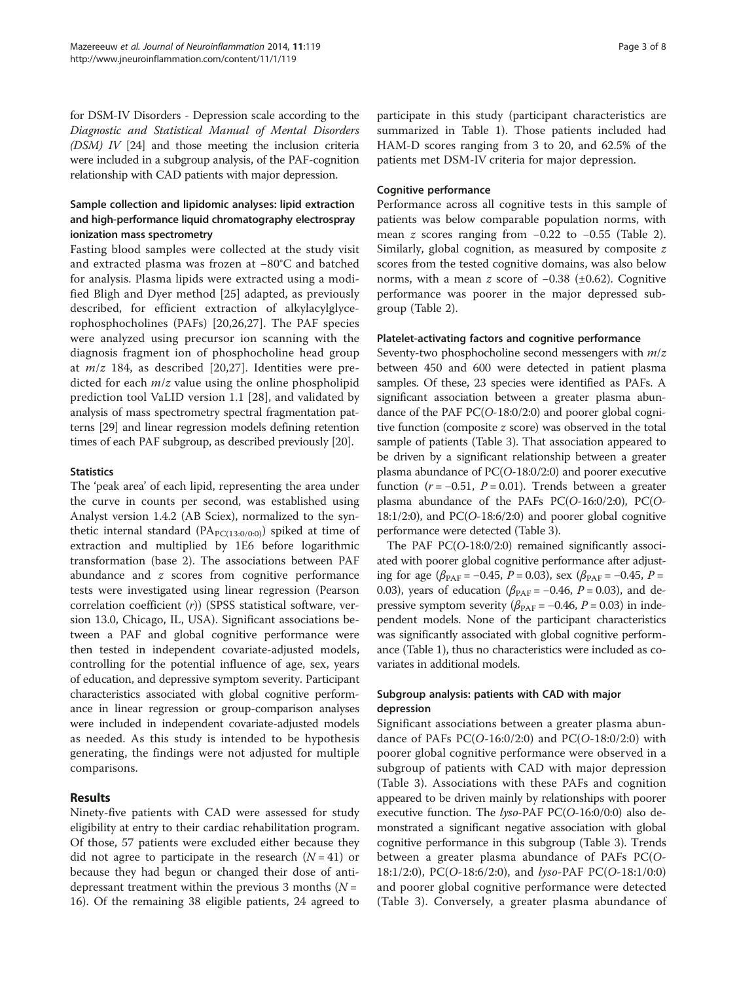for DSM-IV Disorders - Depression scale according to the Diagnostic and Statistical Manual of Mental Disorders (DSM) IV [\[24\]](#page-7-0) and those meeting the inclusion criteria were included in a subgroup analysis, of the PAF-cognition relationship with CAD patients with major depression.

# Sample collection and lipidomic analyses: lipid extraction and high-performance liquid chromatography electrospray ionization mass spectrometry

Fasting blood samples were collected at the study visit and extracted plasma was frozen at −80°C and batched for analysis. Plasma lipids were extracted using a modified Bligh and Dyer method [\[25](#page-7-0)] adapted, as previously described, for efficient extraction of alkylacylglycerophosphocholines (PAFs) [[20,26](#page-7-0),[27\]](#page-7-0). The PAF species were analyzed using precursor ion scanning with the diagnosis fragment ion of phosphocholine head group at  $m/z$  184, as described [[20,27](#page-7-0)]. Identities were predicted for each  $m/z$  value using the online phospholipid prediction tool VaLID version 1.1 [[28\]](#page-7-0), and validated by analysis of mass spectrometry spectral fragmentation patterns [\[29\]](#page-7-0) and linear regression models defining retention times of each PAF subgroup, as described previously [\[20\]](#page-7-0).

# **Statistics**

The 'peak area' of each lipid, representing the area under the curve in counts per second, was established using Analyst version 1.4.2 (AB Sciex), normalized to the synthetic internal standard ( $PA_{PC(13:0/0:0)}$ ) spiked at time of extraction and multiplied by 1E6 before logarithmic transformation (base 2). The associations between PAF abundance and z scores from cognitive performance tests were investigated using linear regression (Pearson correlation coefficient (r)) (SPSS statistical software, version 13.0, Chicago, IL, USA). Significant associations between a PAF and global cognitive performance were then tested in independent covariate-adjusted models, controlling for the potential influence of age, sex, years of education, and depressive symptom severity. Participant characteristics associated with global cognitive performance in linear regression or group-comparison analyses were included in independent covariate-adjusted models as needed. As this study is intended to be hypothesis generating, the findings were not adjusted for multiple comparisons.

# Results

Ninety-five patients with CAD were assessed for study eligibility at entry to their cardiac rehabilitation program. Of those, 57 patients were excluded either because they did not agree to participate in the research  $(N = 41)$  or because they had begun or changed their dose of antidepressant treatment within the previous 3 months ( $N =$ 16). Of the remaining 38 eligible patients, 24 agreed to participate in this study (participant characteristics are summarized in Table [1](#page-3-0)). Those patients included had HAM-D scores ranging from 3 to 20, and 62.5% of the patients met DSM-IV criteria for major depression.

#### Cognitive performance

Performance across all cognitive tests in this sample of patients was below comparable population norms, with mean *z* scores ranging from −0.22 to −0.55 (Table [2](#page-4-0)). Similarly, global cognition, as measured by composite z scores from the tested cognitive domains, was also below norms, with a mean z score of −0.38 (±0.62). Cognitive performance was poorer in the major depressed subgroup (Table [2\)](#page-4-0).

### Platelet-activating factors and cognitive performance

Seventy-two phosphocholine second messengers with  $m/z$ between 450 and 600 were detected in patient plasma samples. Of these, 23 species were identified as PAFs. A significant association between a greater plasma abundance of the PAF PC(O-18:0/2:0) and poorer global cognitive function (composite z score) was observed in the total sample of patients (Table [3](#page-5-0)). That association appeared to be driven by a significant relationship between a greater plasma abundance of PC(O-18:0/2:0) and poorer executive function ( $r = -0.51$ ,  $P = 0.01$ ). Trends between a greater plasma abundance of the PAFs PC(O-16:0/2:0), PC(O- $18:1/2:0$ ), and  $PC(O-18:6/2:0)$  and poorer global cognitive performance were detected (Table [3](#page-5-0)).

The PAF PC(O-18:0/2:0) remained significantly associated with poorer global cognitive performance after adjusting for age ( $\beta_{\text{PAF}}$  = -0.45, P = 0.03), sex ( $\beta_{\text{PAF}}$  = -0.45, P = 0.03), years of education ( $\beta_{\text{PAF}}$  = -0.46, P = 0.03), and depressive symptom severity ( $\beta_{\text{PAF}}$  = -0.46, P = 0.03) in independent models. None of the participant characteristics was significantly associated with global cognitive performance (Table [1\)](#page-3-0), thus no characteristics were included as covariates in additional models.

# Subgroup analysis: patients with CAD with major depression

Significant associations between a greater plasma abundance of PAFs  $PC(O-16:0/2:0)$  and  $PC(O-18:0/2:0)$  with poorer global cognitive performance were observed in a subgroup of patients with CAD with major depression (Table [3\)](#page-5-0). Associations with these PAFs and cognition appeared to be driven mainly by relationships with poorer executive function. The  $lyso-PAF PC(O-16:0/0:0)$  also demonstrated a significant negative association with global cognitive performance in this subgroup (Table [3](#page-5-0)). Trends between a greater plasma abundance of PAFs PC(O-18:1/2:0), PC(O-18:6/2:0), and lyso-PAF PC(O-18:1/0:0) and poorer global cognitive performance were detected (Table [3](#page-5-0)). Conversely, a greater plasma abundance of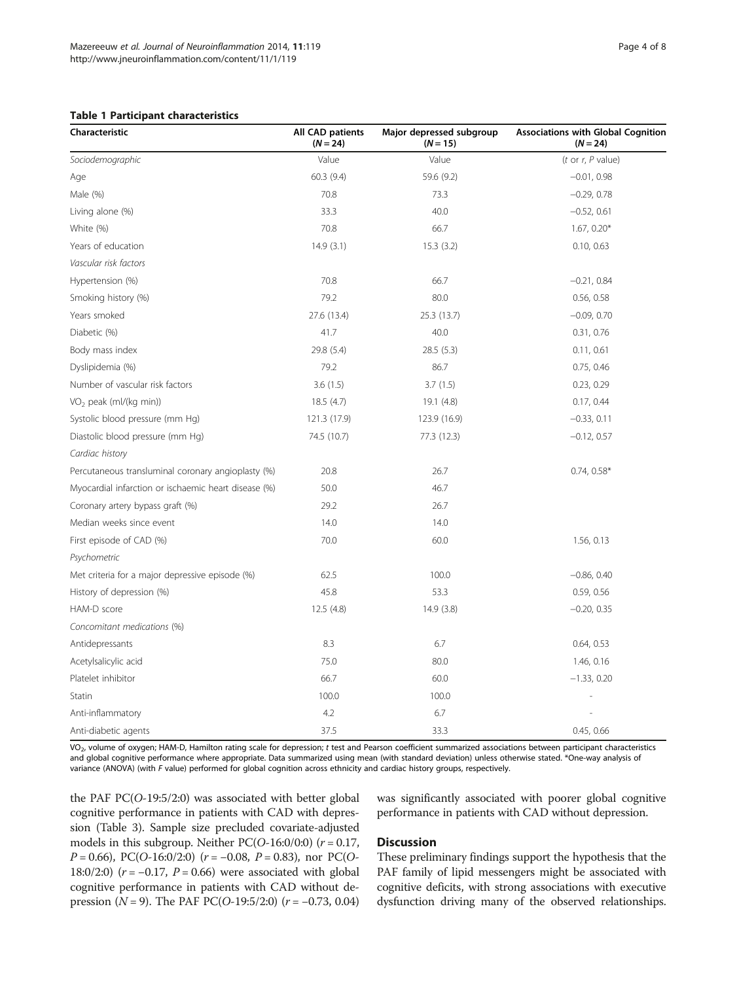#### <span id="page-3-0"></span>Table 1 Participant characteristics

| Characteristic                                       | All CAD patients<br>$(N = 24)$ | Major depressed subgroup<br>$(N = 15)$ | <b>Associations with Global Cognition</b><br>$(N = 24)$ |
|------------------------------------------------------|--------------------------------|----------------------------------------|---------------------------------------------------------|
| Sociodemographic                                     | Value                          | Value                                  | $(t \text{ or } r, P \text{ value})$                    |
| Age                                                  | 60.3(9.4)                      | 59.6 (9.2)                             | $-0.01, 0.98$                                           |
| Male (%)                                             | 70.8                           | 73.3                                   | $-0.29, 0.78$                                           |
| Living alone (%)                                     | 33.3                           | 40.0                                   | $-0.52, 0.61$                                           |
| White (%)                                            | 70.8                           | 66.7                                   | $1.67, 0.20*$                                           |
| Years of education                                   | 14.9(3.1)                      | 15.3(3.2)                              | 0.10, 0.63                                              |
| Vascular risk factors                                |                                |                                        |                                                         |
| Hypertension (%)                                     | 70.8                           | 66.7                                   | $-0.21, 0.84$                                           |
| Smoking history (%)                                  | 79.2                           | 80.0                                   | 0.56, 0.58                                              |
| Years smoked                                         | 27.6 (13.4)                    | 25.3 (13.7)                            | $-0.09, 0.70$                                           |
| Diabetic (%)                                         | 41.7                           | 40.0                                   | 0.31, 0.76                                              |
| Body mass index                                      | 29.8 (5.4)                     | 28.5 (5.3)                             | 0.11, 0.61                                              |
| Dyslipidemia (%)                                     | 79.2                           | 86.7                                   | 0.75, 0.46                                              |
| Number of vascular risk factors                      | 3.6(1.5)                       | 3.7(1.5)                               | 0.23, 0.29                                              |
| VO <sub>2</sub> peak (ml/(kg min))                   | 18.5 (4.7)                     | 19.1(4.8)                              | 0.17, 0.44                                              |
| Systolic blood pressure (mm Hg)                      | 121.3 (17.9)                   | 123.9 (16.9)                           | $-0.33, 0.11$                                           |
| Diastolic blood pressure (mm Hg)                     | 74.5 (10.7)                    | 77.3 (12.3)                            | $-0.12, 0.57$                                           |
| Cardiac history                                      |                                |                                        |                                                         |
| Percutaneous transluminal coronary angioplasty (%)   | 20.8                           | 26.7                                   | $0.74, 0.58*$                                           |
| Myocardial infarction or ischaemic heart disease (%) | 50.0                           | 46.7                                   |                                                         |
| Coronary artery bypass graft (%)                     | 29.2                           | 26.7                                   |                                                         |
| Median weeks since event                             | 14.0                           | 14.0                                   |                                                         |
| First episode of CAD (%)                             | 70.0                           | 60.0                                   | 1.56, 0.13                                              |
| Psychometric                                         |                                |                                        |                                                         |
| Met criteria for a major depressive episode (%)      | 62.5                           | 100.0                                  | $-0.86, 0.40$                                           |
| History of depression (%)                            | 45.8                           | 53.3                                   | 0.59, 0.56                                              |
| HAM-D score                                          | 12.5(4.8)                      | 14.9(3.8)                              | $-0.20, 0.35$                                           |
| Concomitant medications (%)                          |                                |                                        |                                                         |
| Antidepressants                                      | 8.3                            | 6.7                                    | 0.64, 0.53                                              |
| Acetylsalicylic acid                                 | 75.0                           | 80.0                                   | 1.46, 0.16                                              |
| Platelet inhibitor                                   | 66.7                           | 60.0                                   | $-1.33, 0.20$                                           |
| Statin                                               | 100.0                          | 100.0                                  |                                                         |
| Anti-inflammatory                                    | 4.2                            | 6.7                                    |                                                         |
| Anti-diabetic agents                                 | 37.5                           | 33.3                                   | 0.45, 0.66                                              |

VO<sub>2</sub>, volume of oxygen; HAM-D, Hamilton rating scale for depression; t test and Pearson coefficient summarized associations between participant characteristics and global cognitive performance where appropriate. Data summarized using mean (with standard deviation) unless otherwise stated. \*One-way analysis of variance (ANOVA) (with  $F$  value) performed for global cognition across ethnicity and cardiac history groups, respectively.

the PAF PC(O-19:5/2:0) was associated with better global cognitive performance in patients with CAD with depression (Table [3\)](#page-5-0). Sample size precluded covariate-adjusted models in this subgroup. Neither  $PC(O-16:0/0:0)$  ( $r = 0.17$ ,  $P = 0.66$ ), PC(O-16:0/2:0) ( $r = -0.08$ ,  $P = 0.83$ ), nor PC(O-18:0/2:0)  $(r = -0.17, P = 0.66)$  were associated with global cognitive performance in patients with CAD without depression ( $N = 9$ ). The PAF PC(O-19:5/2:0) ( $r = -0.73, 0.04$ ) was significantly associated with poorer global cognitive performance in patients with CAD without depression.

#### **Discussion**

These preliminary findings support the hypothesis that the PAF family of lipid messengers might be associated with cognitive deficits, with strong associations with executive dysfunction driving many of the observed relationships.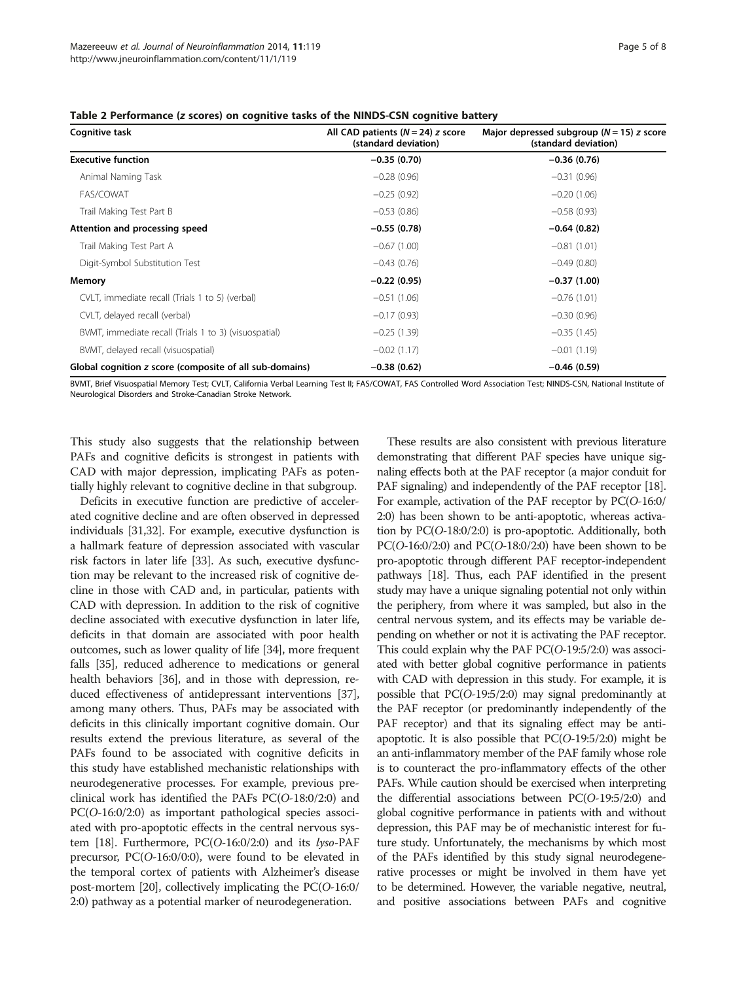<span id="page-4-0"></span>

|  |  | Table 2 Performance (z scores) on cognitive tasks of the NINDS-CSN cognitive battery |
|--|--|--------------------------------------------------------------------------------------|
|--|--|--------------------------------------------------------------------------------------|

| <b>Cognitive task</b>                                   | All CAD patients $(N = 24)$ z score<br>(standard deviation) | Major depressed subgroup ( $N = 15$ ) z score<br>(standard deviation) |
|---------------------------------------------------------|-------------------------------------------------------------|-----------------------------------------------------------------------|
| <b>Executive function</b>                               | $-0.35(0.70)$                                               | $-0.36(0.76)$                                                         |
| Animal Naming Task                                      | $-0.28(0.96)$                                               | $-0.31(0.96)$                                                         |
| <b>FAS/COWAT</b>                                        | $-0.25(0.92)$                                               | $-0.20(1.06)$                                                         |
| Trail Making Test Part B                                | $-0.53(0.86)$                                               | $-0.58(0.93)$                                                         |
| Attention and processing speed                          | $-0.55(0.78)$                                               | $-0.64(0.82)$                                                         |
| Trail Making Test Part A                                | $-0.67(1.00)$                                               | $-0.81(1.01)$                                                         |
| Digit-Symbol Substitution Test                          | $-0.43(0.76)$                                               | $-0.49(0.80)$                                                         |
| Memory                                                  | $-0.22(0.95)$                                               | $-0.37(1.00)$                                                         |
| CVLT, immediate recall (Trials 1 to 5) (verbal)         | $-0.51(1.06)$                                               | $-0.76(1.01)$                                                         |
| CVLT, delayed recall (verbal)                           | $-0.17(0.93)$                                               | $-0.30(0.96)$                                                         |
| BVMT, immediate recall (Trials 1 to 3) (visuospatial)   | $-0.25(1.39)$                                               | $-0.35(1.45)$                                                         |
| BVMT, delayed recall (visuospatial)                     | $-0.02(1.17)$                                               | $-0.01(1.19)$                                                         |
| Global cognition z score (composite of all sub-domains) | $-0.38(0.62)$                                               | $-0.46(0.59)$                                                         |

BVMT, Brief Visuospatial Memory Test; CVLT, California Verbal Learning Test II; FAS/COWAT, FAS Controlled Word Association Test; NINDS-CSN, National Institute of Neurological Disorders and Stroke-Canadian Stroke Network.

This study also suggests that the relationship between PAFs and cognitive deficits is strongest in patients with CAD with major depression, implicating PAFs as potentially highly relevant to cognitive decline in that subgroup.

Deficits in executive function are predictive of accelerated cognitive decline and are often observed in depressed individuals [\[31,32\]](#page-7-0). For example, executive dysfunction is a hallmark feature of depression associated with vascular risk factors in later life [[33](#page-7-0)]. As such, executive dysfunction may be relevant to the increased risk of cognitive decline in those with CAD and, in particular, patients with CAD with depression. In addition to the risk of cognitive decline associated with executive dysfunction in later life, deficits in that domain are associated with poor health outcomes, such as lower quality of life [\[34](#page-7-0)], more frequent falls [\[35\]](#page-7-0), reduced adherence to medications or general health behaviors [\[36\]](#page-7-0), and in those with depression, reduced effectiveness of antidepressant interventions [[37](#page-7-0)], among many others. Thus, PAFs may be associated with deficits in this clinically important cognitive domain. Our results extend the previous literature, as several of the PAFs found to be associated with cognitive deficits in this study have established mechanistic relationships with neurodegenerative processes. For example, previous preclinical work has identified the PAFs PC(O-18:0/2:0) and PC(O-16:0/2:0) as important pathological species associated with pro-apoptotic effects in the central nervous sys-tem [\[18\]](#page-7-0). Furthermore,  $PC(O-16:0/2:0)$  and its *lyso-PAF* precursor, PC(O-16:0/0:0), were found to be elevated in the temporal cortex of patients with Alzheimer's disease post-mortem [\[20](#page-7-0)], collectively implicating the PC(O-16:0/ 2:0) pathway as a potential marker of neurodegeneration.

These results are also consistent with previous literature demonstrating that different PAF species have unique signaling effects both at the PAF receptor (a major conduit for PAF signaling) and independently of the PAF receptor [\[18](#page-7-0)]. For example, activation of the PAF receptor by PC(O-16:0/ 2:0) has been shown to be anti-apoptotic, whereas activation by PC(O-18:0/2:0) is pro-apoptotic. Additionally, both  $PC(O-16:0/2:0)$  and  $PC(O-18:0/2:0)$  have been shown to be pro-apoptotic through different PAF receptor-independent pathways [[18](#page-7-0)]. Thus, each PAF identified in the present study may have a unique signaling potential not only within the periphery, from where it was sampled, but also in the central nervous system, and its effects may be variable depending on whether or not it is activating the PAF receptor. This could explain why the PAF PC(O-19:5/2:0) was associated with better global cognitive performance in patients with CAD with depression in this study. For example, it is possible that PC(O-19:5/2:0) may signal predominantly at the PAF receptor (or predominantly independently of the PAF receptor) and that its signaling effect may be antiapoptotic. It is also possible that  $PC(O-19:5/2:0)$  might be an anti-inflammatory member of the PAF family whose role is to counteract the pro-inflammatory effects of the other PAFs. While caution should be exercised when interpreting the differential associations between PC(O-19:5/2:0) and global cognitive performance in patients with and without depression, this PAF may be of mechanistic interest for future study. Unfortunately, the mechanisms by which most of the PAFs identified by this study signal neurodegenerative processes or might be involved in them have yet to be determined. However, the variable negative, neutral, and positive associations between PAFs and cognitive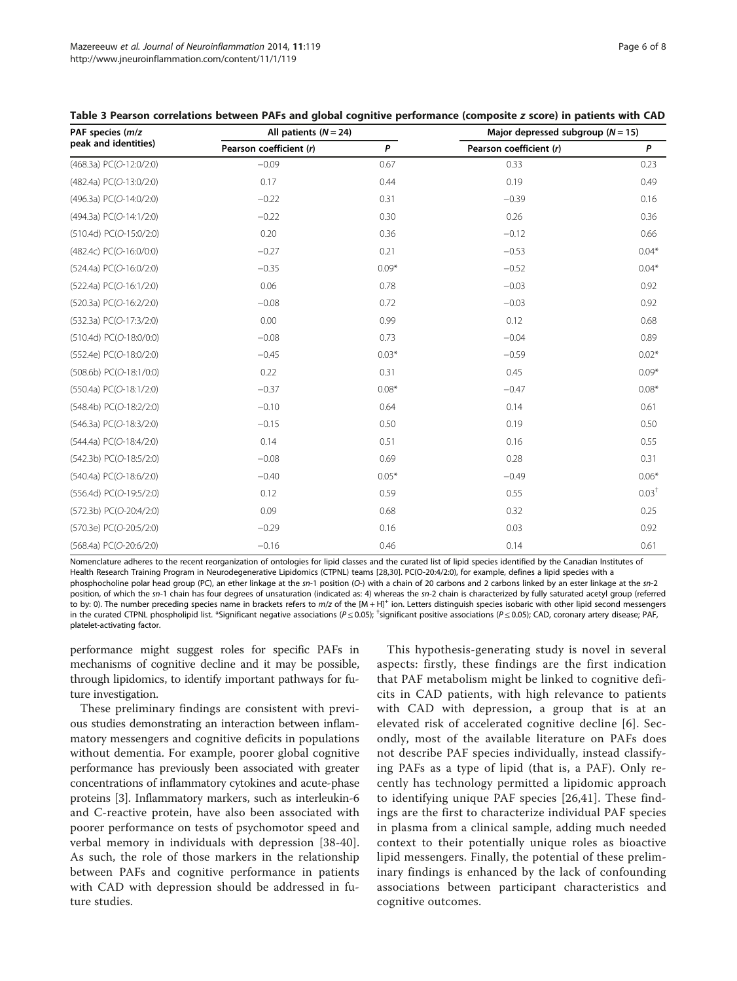| PAF species (m/z<br>peak and identities) | All patients $(N = 24)$ |         | Major depressed subgroup $(N = 15)$ |                   |
|------------------------------------------|-------------------------|---------|-------------------------------------|-------------------|
|                                          | Pearson coefficient (r) | P       | Pearson coefficient (r)             | P                 |
| (468.3a) PC(O-12:0/2:0)                  | $-0.09$                 | 0.67    | 0.33                                | 0.23              |
| (482.4a) PC(O-13:0/2:0)                  | 0.17                    | 0.44    | 0.19                                | 0.49              |
| (496.3a) PC(O-14:0/2:0)                  | $-0.22$                 | 0.31    | $-0.39$                             | 0.16              |
| (494.3a) PC(O-14:1/2:0)                  | $-0.22$                 | 0.30    | 0.26                                | 0.36              |
| (510.4d) PC(O-15:0/2:0)                  | 0.20                    | 0.36    | $-0.12$                             | 0.66              |
| (482.4c) PC(O-16:0/0:0)                  | $-0.27$                 | 0.21    | $-0.53$                             | $0.04*$           |
| (524.4a) PC(O-16:0/2:0)                  | $-0.35$                 | $0.09*$ | $-0.52$                             | $0.04*$           |
| (522.4a) PC(O-16:1/2:0)                  | 0.06                    | 0.78    | $-0.03$                             | 0.92              |
| (520.3a) PC(O-16:2/2:0)                  | $-0.08$                 | 0.72    | $-0.03$                             | 0.92              |
| (532.3a) PC(O-17:3/2:0)                  | 0.00                    | 0.99    | 0.12                                | 0.68              |
| (510.4d) PC(O-18:0/0:0)                  | $-0.08$                 | 0.73    | $-0.04$                             | 0.89              |
| (552.4e) PC(O-18:0/2:0)                  | $-0.45$                 | $0.03*$ | $-0.59$                             | $0.02*$           |
| (508.6b) PC(O-18:1/0:0)                  | 0.22                    | 0.31    | 0.45                                | $0.09*$           |
| (550.4a) PC(O-18:1/2:0)                  | $-0.37$                 | $0.08*$ | $-0.47$                             | $0.08*$           |
| (548.4b) PC(O-18:2/2:0)                  | $-0.10$                 | 0.64    | 0.14                                | 0.61              |
| (546.3a) PC(O-18:3/2:0)                  | $-0.15$                 | 0.50    | 0.19                                | 0.50              |
| (544.4a) PC(O-18:4/2:0)                  | 0.14                    | 0.51    | 0.16                                | 0.55              |
| (542.3b) PC(O-18:5/2:0)                  | $-0.08$                 | 0.69    | 0.28                                | 0.31              |
| (540.4a) PC(O-18:6/2:0)                  | $-0.40$                 | $0.05*$ | $-0.49$                             | $0.06*$           |
| (556.4d) PC(O-19:5/2:0)                  | 0.12                    | 0.59    | 0.55                                | 0.03 <sup>†</sup> |
| (572.3b) PC(O-20:4/2:0)                  | 0.09                    | 0.68    | 0.32                                | 0.25              |
| (570.3e) PC(O-20:5/2:0)                  | $-0.29$                 | 0.16    | 0.03                                | 0.92              |
| (568.4a) PC(O-20:6/2:0)                  | $-0.16$                 | 0.46    | 0.14                                | 0.61              |

<span id="page-5-0"></span>

| Table 3 Pearson correlations between PAFs and global cognitive performance (composite z score) in patients with CAD |  |  |  |
|---------------------------------------------------------------------------------------------------------------------|--|--|--|
|---------------------------------------------------------------------------------------------------------------------|--|--|--|

Nomenclature adheres to the recent reorganization of ontologies for lipid classes and the curated list of lipid species identified by the Canadian Institutes of Health Research Training Program in Neurodegenerative Lipidomics (CTPNL) teams [\[28](#page-7-0),[30\]](#page-7-0). PC(O-20:4/2:0), for example, defines a lipid species with a phosphocholine polar head group (PC), an ether linkage at the sn-1 position (O-) with a chain of 20 carbons and 2 carbons linked by an ester linkage at the sn-2 position, of which the sn-1 chain has four degrees of unsaturation (indicated as: 4) whereas the sn-2 chain is characterized by fully saturated acetyl group (referred to by: 0). The number preceding species name in brackets refers to m/z of the [M + H]<sup>+</sup> ion. Letters distinguish species isobaric with other lipid second messengers in the curated CTPNL phospholipid list. \*Significant negative associations (P ≤ 0.05);  $\frac{1}{3}$ significant positive associations (P ≤ 0.05); CAD, coronary artery disease; PAF, platelet-activating factor.

performance might suggest roles for specific PAFs in mechanisms of cognitive decline and it may be possible, through lipidomics, to identify important pathways for future investigation.

These preliminary findings are consistent with previous studies demonstrating an interaction between inflammatory messengers and cognitive deficits in populations without dementia. For example, poorer global cognitive performance has previously been associated with greater concentrations of inflammatory cytokines and acute-phase proteins [[3\]](#page-6-0). Inflammatory markers, such as interleukin-6 and C-reactive protein, have also been associated with poorer performance on tests of psychomotor speed and verbal memory in individuals with depression [\[38](#page-7-0)-[40](#page-7-0)]. As such, the role of those markers in the relationship between PAFs and cognitive performance in patients with CAD with depression should be addressed in future studies.

This hypothesis-generating study is novel in several aspects: firstly, these findings are the first indication that PAF metabolism might be linked to cognitive deficits in CAD patients, with high relevance to patients with CAD with depression, a group that is at an elevated risk of accelerated cognitive decline [[6](#page-7-0)]. Secondly, most of the available literature on PAFs does not describe PAF species individually, instead classifying PAFs as a type of lipid (that is, a PAF). Only recently has technology permitted a lipidomic approach to identifying unique PAF species [[26](#page-7-0),[41\]](#page-7-0). These findings are the first to characterize individual PAF species in plasma from a clinical sample, adding much needed context to their potentially unique roles as bioactive lipid messengers. Finally, the potential of these preliminary findings is enhanced by the lack of confounding associations between participant characteristics and cognitive outcomes.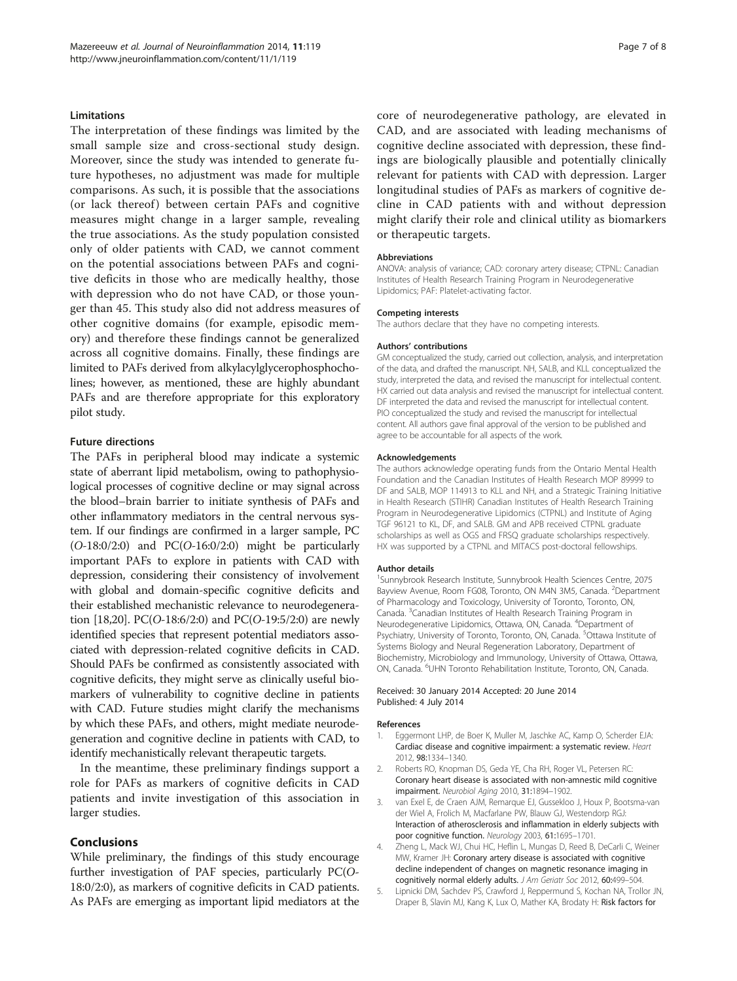#### <span id="page-6-0"></span>**Limitations**

The interpretation of these findings was limited by the small sample size and cross-sectional study design. Moreover, since the study was intended to generate future hypotheses, no adjustment was made for multiple comparisons. As such, it is possible that the associations (or lack thereof) between certain PAFs and cognitive measures might change in a larger sample, revealing the true associations. As the study population consisted only of older patients with CAD, we cannot comment on the potential associations between PAFs and cognitive deficits in those who are medically healthy, those with depression who do not have CAD, or those younger than 45. This study also did not address measures of other cognitive domains (for example, episodic memory) and therefore these findings cannot be generalized across all cognitive domains. Finally, these findings are limited to PAFs derived from alkylacylglycerophosphocholines; however, as mentioned, these are highly abundant PAFs and are therefore appropriate for this exploratory pilot study.

#### Future directions

The PAFs in peripheral blood may indicate a systemic state of aberrant lipid metabolism, owing to pathophysiological processes of cognitive decline or may signal across the blood–brain barrier to initiate synthesis of PAFs and other inflammatory mediators in the central nervous system. If our findings are confirmed in a larger sample, PC  $(O-18:0/2:0)$  and  $PC(O-16:0/2:0)$  might be particularly important PAFs to explore in patients with CAD with depression, considering their consistency of involvement with global and domain-specific cognitive deficits and their established mechanistic relevance to neurodegeneration [[18,20\]](#page-7-0). PC(O-18:6/2:0) and PC(O-19:5/2:0) are newly identified species that represent potential mediators associated with depression-related cognitive deficits in CAD. Should PAFs be confirmed as consistently associated with cognitive deficits, they might serve as clinically useful biomarkers of vulnerability to cognitive decline in patients with CAD. Future studies might clarify the mechanisms by which these PAFs, and others, might mediate neurodegeneration and cognitive decline in patients with CAD, to identify mechanistically relevant therapeutic targets.

In the meantime, these preliminary findings support a role for PAFs as markers of cognitive deficits in CAD patients and invite investigation of this association in larger studies.

#### Conclusions

While preliminary, the findings of this study encourage further investigation of PAF species, particularly PC(O-18:0/2:0), as markers of cognitive deficits in CAD patients. As PAFs are emerging as important lipid mediators at the core of neurodegenerative pathology, are elevated in CAD, and are associated with leading mechanisms of cognitive decline associated with depression, these findings are biologically plausible and potentially clinically relevant for patients with CAD with depression. Larger longitudinal studies of PAFs as markers of cognitive decline in CAD patients with and without depression might clarify their role and clinical utility as biomarkers or therapeutic targets.

#### Abbreviations

ANOVA: analysis of variance; CAD: coronary artery disease; CTPNL: Canadian Institutes of Health Research Training Program in Neurodegenerative Lipidomics; PAF: Platelet-activating factor.

#### Competing interests

The authors declare that they have no competing interests.

#### Authors' contributions

GM conceptualized the study, carried out collection, analysis, and interpretation of the data, and drafted the manuscript. NH, SALB, and KLL conceptualized the study, interpreted the data, and revised the manuscript for intellectual content. HX carried out data analysis and revised the manuscript for intellectual content. DF interpreted the data and revised the manuscript for intellectual content. PIO conceptualized the study and revised the manuscript for intellectual content. All authors gave final approval of the version to be published and agree to be accountable for all aspects of the work.

#### Acknowledgements

The authors acknowledge operating funds from the Ontario Mental Health Foundation and the Canadian Institutes of Health Research MOP 89999 to DF and SALB, MOP 114913 to KLL and NH, and a Strategic Training Initiative in Health Research (STIHR) Canadian Institutes of Health Research Training Program in Neurodegenerative Lipidomics (CTPNL) and Institute of Aging TGF 96121 to KL, DF, and SALB. GM and APB received CTPNL graduate scholarships as well as OGS and FRSQ graduate scholarships respectively. HX was supported by a CTPNL and MITACS post-doctoral fellowships.

#### Author details

1 Sunnybrook Research Institute, Sunnybrook Health Sciences Centre, 2075 Bayview Avenue, Room FG08, Toronto, ON M4N 3M5, Canada. <sup>2</sup>Department of Pharmacology and Toxicology, University of Toronto, Toronto, ON, Canada. <sup>3</sup> Canadian Institutes of Health Research Training Program in Neurodegenerative Lipidomics, Ottawa, ON, Canada. <sup>4</sup>Department of Psychiatry, University of Toronto, Toronto, ON, Canada. <sup>5</sup>Ottawa Institute of Systems Biology and Neural Regeneration Laboratory, Department of Biochemistry, Microbiology and Immunology, University of Ottawa, Ottawa, ON, Canada. <sup>6</sup>UHN Toronto Rehabilitation Institute, Toronto, ON, Canada.

#### Received: 30 January 2014 Accepted: 20 June 2014 Published: 4 July 2014

#### References

- 1. Eggermont LHP, de Boer K, Muller M, Jaschke AC, Kamp O, Scherder EJA: Cardiac disease and cognitive impairment: a systematic review. Heart 2012, 98:1334–1340.
- 2. Roberts RO, Knopman DS, Geda YE, Cha RH, Roger VL, Petersen RC: Coronary heart disease is associated with non-amnestic mild cognitive impairment. Neurobiol Aging 2010, 31:1894–1902.
- 3. van Exel E, de Craen AJM, Remarque EJ, Gussekloo J, Houx P, Bootsma-van der Wiel A, Frolich M, Macfarlane PW, Blauw GJ, Westendorp RGJ: Interaction of atherosclerosis and inflammation in elderly subjects with poor cognitive function. Neurology 2003, 61:1695-1701.
- 4. Zheng L, Mack WJ, Chui HC, Heflin L, Mungas D, Reed B, DeCarli C, Weiner MW, Kramer JH: Coronary artery disease is associated with cognitive decline independent of changes on magnetic resonance imaging in cognitively normal elderly adults. J Am Geriatr Soc 2012, 60:499–504.
- 5. Lipnicki DM, Sachdev PS, Crawford J, Reppermund S, Kochan NA, Trollor JN, Draper B, Slavin MJ, Kang K, Lux O, Mather KA, Brodaty H: Risk factors for